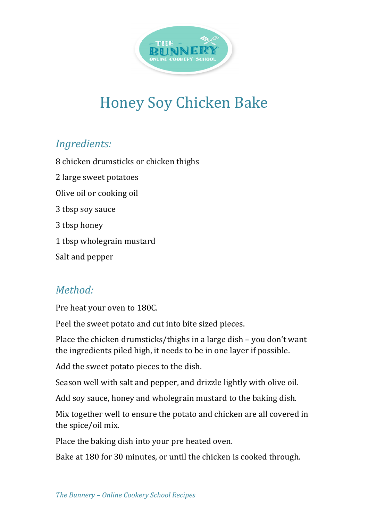

## Honey Soy Chicken Bake

## *Ingredients:*

8 chicken drumsticks or chicken thighs 2 large sweet potatoes Olive oil or cooking oil 3 tbsp soy sauce 3 tbsp honey 1 tbsp wholegrain mustard Salt and pepper

## *Method:*

Pre heat your oven to 180C.

Peel the sweet potato and cut into bite sized pieces.

Place the chicken drumsticks/thighs in a large dish – you don't want the ingredients piled high, it needs to be in one layer if possible.

Add the sweet potato pieces to the dish.

Season well with salt and pepper, and drizzle lightly with olive oil.

Add soy sauce, honey and wholegrain mustard to the baking dish.

Mix together well to ensure the potato and chicken are all covered in the spice/oil mix.

Place the baking dish into your pre heated oven.

Bake at 180 for 30 minutes, or until the chicken is cooked through.